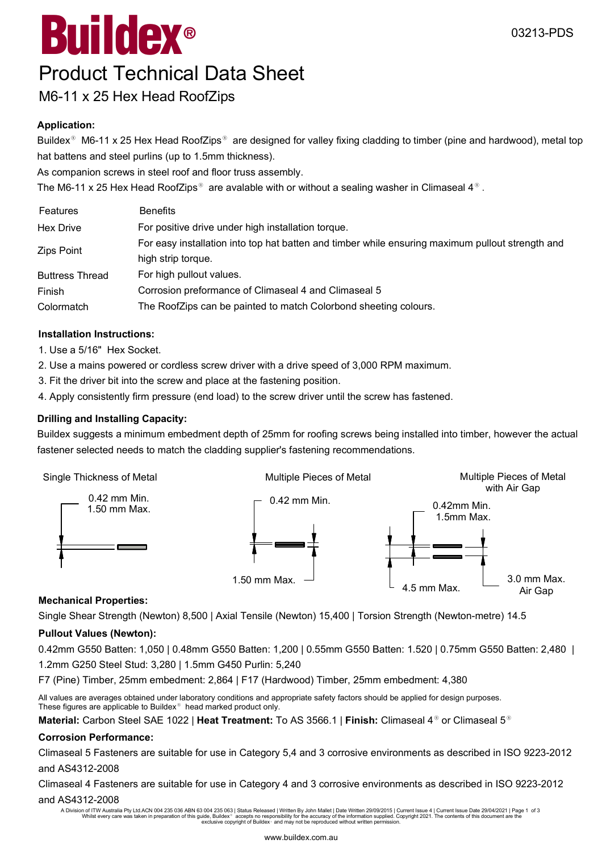# $^{\circledR}$ Buildex

### Product Technical Data Sheet

### M6-11 x 25 Hex Head RoofZips

#### **Application:**

Buildex<sup>®</sup> M6-11 x 25 Hex Head RoofZips<sup>®</sup> are designed for valley fixing cladding to timber (pine and hardwood), metal top hat battens and steel purlins (up to 1.5mm thickness).

As companion screws in steel roof and floor truss assembly.

The M6-11 x 25 Hex Head RoofZips<sup>®</sup> are avalable with or without a sealing washer in Climaseal 4<sup>®</sup>.

| Features               | <b>Benefits</b>                                                                                  |
|------------------------|--------------------------------------------------------------------------------------------------|
| <b>Hex Drive</b>       | For positive drive under high installation torque.                                               |
| Zips Point             | For easy installation into top hat batten and timber while ensuring maximum pullout strength and |
|                        | high strip torque.                                                                               |
| <b>Buttress Thread</b> | For high pullout values.                                                                         |
| Finish                 | Corrosion preformance of Climaseal 4 and Climaseal 5                                             |
| Colormatch             | The RoofZips can be painted to match Colorbond sheeting colours.                                 |

#### **Installation Instructions:**

- 1. Use a 5/16" Hex Socket.
- 2. Use a mains powered or cordless screw driver with a drive speed of 3,000 RPM maximum.
- 3. Fit the driver bit into the screw and place at the fastening position.
- 4. Apply consistently firm pressure (end load) to the screw driver until the screw has fastened.

#### **Drilling and Installing Capacity:**

Buildex suggests a minimum embedment depth of 25mm for roofing screws being installed into timber, however the actual fastener selected needs to match the cladding supplier's fastening recommendations.



#### **Mechanical Properties:**

Single Shear Strength (Newton) 8,500 | Axial Tensile (Newton) 15,400 | Torsion Strength (Newton-metre) 14.5

#### **Pullout Values (Newton):**

0.42mm G550 Batten: 1,050 | 0.48mm G550 Batten: 1,200 | 0.55mm G550 Batten: 1.520 | 0.75mm G550 Batten: 2,480 |

1.2mm G250 Steel Stud: 3,280 | 1.5mm G450 Purlin: 5,240

F7 (Pine) Timber, 25mm embedment: 2,864 | F17 (Hardwood) Timber, 25mm embedment: 4,380

All values are averages obtained under laboratory conditions and appropriate safety factors should be applied for design purposes. These figures are applicable to Buildex<sup>®</sup> head marked product only.

**Material:** Carbon Steel SAE 1022 | **Heat Treatment:** To AS 3566.1 | **Finish:** Climaseal 4<sup>®</sup> or Climaseal 5<sup>®</sup>

#### **Corrosion Performance:**

Climaseal 5 Fasteners are suitable for use in Category 5,4 and 3 corrosive environments as described in ISO 9223-2012 and AS4312-2008

Climaseal 4 Fasteners are suitable for use in Category 4 and 3 corrosive environments as described in ISO 9223-2012 and AS4312-2008

A Division of ITW Australia Pty Ltd.ACN 004 235 036 ABN 63 004 235 063 | Status Released | Written By John Mallet | Date Written 29/09/2015 | Current Issue 4 | Current Issue Date 29/04/2021 | Page 1 of 3<br>Whilst every care exclusive copyright of Buildex<sup>®</sup> and may not be reproduced without written permission.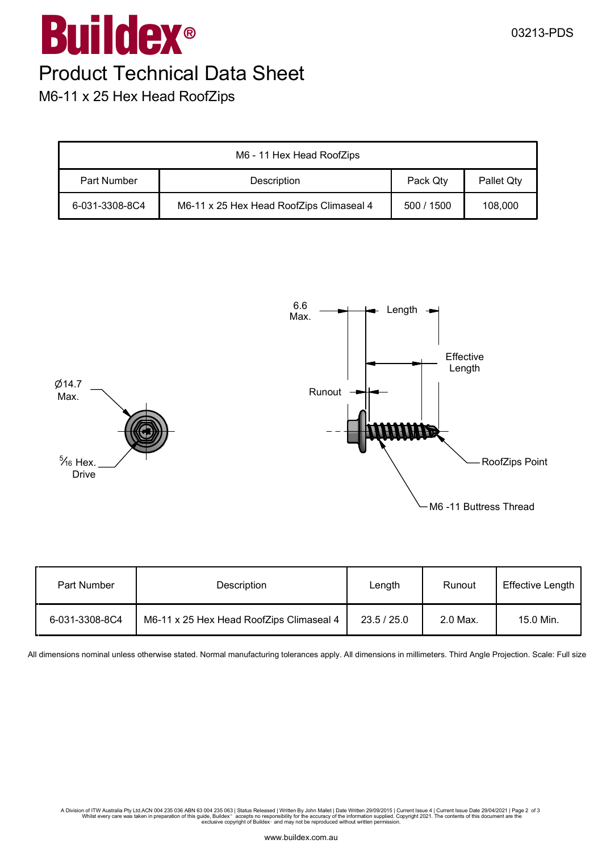## $^{\circledR}$ M6-11 x 25 Hex Head RoofZips Buildex Product Technical Data Sheet

| M6 - 11 Hex Head RoofZips |                                          |            |            |
|---------------------------|------------------------------------------|------------|------------|
| Part Number               | <b>Description</b>                       | Pack Qty   | Pallet Qty |
| 6-031-3308-8C4            | M6-11 x 25 Hex Head RoofZips Climaseal 4 | 500 / 1500 | 108,000    |



| Part Number    | <b>Description</b>                       | Length      | Runout   | <b>Effective Length</b> |
|----------------|------------------------------------------|-------------|----------|-------------------------|
| 6-031-3308-8C4 | M6-11 x 25 Hex Head RoofZips Climaseal 4 | 23.5 / 25.0 | 2.0 Max. | 15.0 Min.               |

All dimensions nominal unless otherwise stated. Normal manufacturing tolerances apply. All dimensions in millimeters. Third Angle Projection. Scale: Full size

A Division of ITW Australia Pty Ltd.ACN 004 235 036 ABN 63 004 235 063 | Status Released | Written By John Mallet | Date Written 29/09/2015 | Current Issue 4 | Current Issue Date 29/04/2021 | Page 2 of 3<br>Whilst every care exclusive copyright of Buildex<sup>®</sup> and may not be reproduced without written permission.